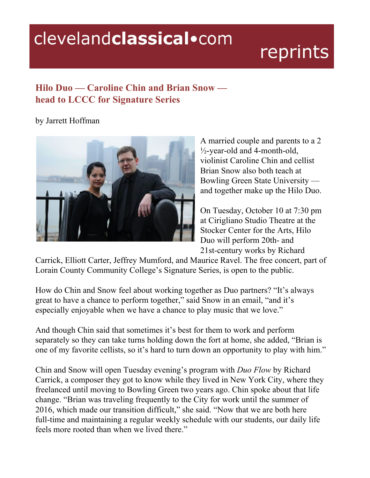## clevelandclassical.com

## reprints

## **Hilo Duo — Caroline Chin and Brian Snow head to LCCC for Signature Series**

## by Jarrett Hoffman



A married couple and parents to a 2  $\frac{1}{2}$ -year-old and 4-month-old, violinist Caroline Chin and cellist Brian Snow also both teach at Bowling Green State University and together make up the Hilo Duo.

On Tuesday, October 10 at 7:30 pm at Cirigliano Studio Theatre at the Stocker Center for the Arts, Hilo Duo will perform 20th- and 21st-century works by Richard

Carrick, Elliott Carter, Jeffrey Mumford, and Maurice Ravel. The free concert, part of Lorain County Community College's Signature Series, is open to the public.

How do Chin and Snow feel about working together as Duo partners? "It's always great to have a chance to perform together," said Snow in an email, "and it's especially enjoyable when we have a chance to play music that we love."

And though Chin said that sometimes it's best for them to work and perform separately so they can take turns holding down the fort at home, she added, "Brian is one of my favorite cellists, so it's hard to turn down an opportunity to play with him."

Chin and Snow will open Tuesday evening's program with *Duo Flow* by Richard Carrick, a composer they got to know while they lived in New York City, where they freelanced until moving to Bowling Green two years ago. Chin spoke about that life change. "Brian was traveling frequently to the City for work until the summer of 2016, which made our transition difficult," she said. "Now that we are both here full-time and maintaining a regular weekly schedule with our students, our daily life feels more rooted than when we lived there."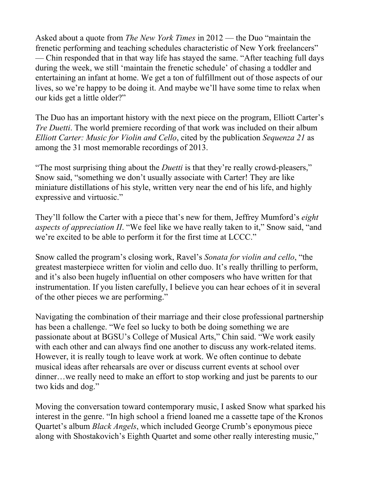Asked about a quote from *The New York Times* in 2012 — the Duo "maintain the frenetic performing and teaching schedules characteristic of New York freelancers" — Chin responded that in that way life has stayed the same. "After teaching full days during the week, we still 'maintain the frenetic schedule' of chasing a toddler and entertaining an infant at home. We get a ton of fulfillment out of those aspects of our lives, so we're happy to be doing it. And maybe we'll have some time to relax when our kids get a little older?"

The Duo has an important history with the next piece on the program, Elliott Carter's *Tre Duetti*. The world premiere recording of that work was included on their album *Elliott Carter: Music for Violin and Cello*, cited by the publication *Sequenza 21* as among the 31 most memorable recordings of 2013.

"The most surprising thing about the *Duetti* is that they're really crowd-pleasers," Snow said, "something we don't usually associate with Carter! They are like miniature distillations of his style, written very near the end of his life, and highly expressive and virtuosic."

They'll follow the Carter with a piece that's new for them, Jeffrey Mumford's *eight aspects of appreciation II*. "We feel like we have really taken to it," Snow said, "and we're excited to be able to perform it for the first time at LCCC."

Snow called the program's closing work, Ravel's *Sonata for violin and cello*, "the greatest masterpiece written for violin and cello duo. It's really thrilling to perform, and it's also been hugely influential on other composers who have written for that instrumentation. If you listen carefully, I believe you can hear echoes of it in several of the other pieces we are performing."

Navigating the combination of their marriage and their close professional partnership has been a challenge. "We feel so lucky to both be doing something we are passionate about at BGSU's College of Musical Arts," Chin said. "We work easily with each other and can always find one another to discuss any work-related items. However, it is really tough to leave work at work. We often continue to debate musical ideas after rehearsals are over or discuss current events at school over dinner…we really need to make an effort to stop working and just be parents to our two kids and dog."

Moving the conversation toward contemporary music, I asked Snow what sparked his interest in the genre. "In high school a friend loaned me a cassette tape of the Kronos Quartet's album *Black Angels*, which included George Crumb's eponymous piece along with Shostakovich's Eighth Quartet and some other really interesting music,"